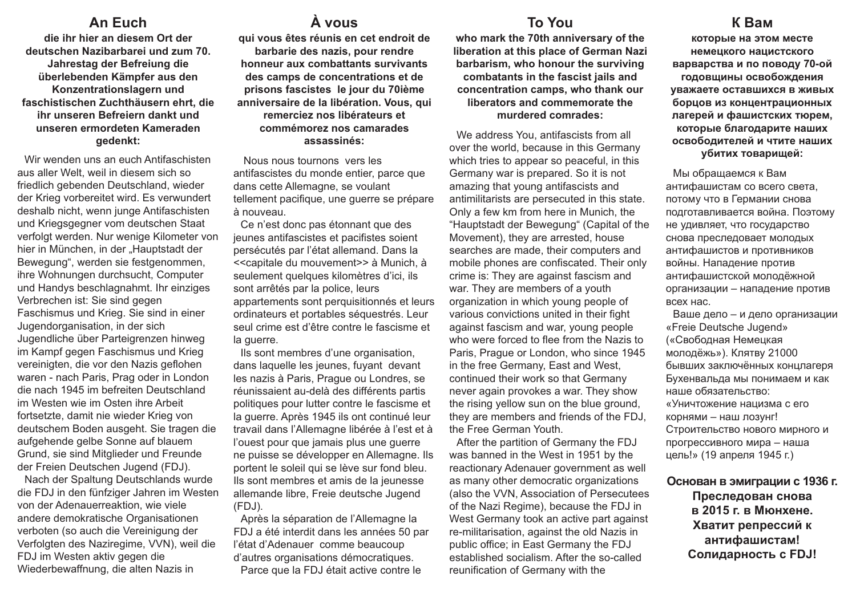## **An Euch**

**die ihr hier an diesem Ort der deutschen Nazibarbarei und zum 70. Jahrestag der Befreiung die überlebenden Kämpfer aus den Konzentrationslagern und faschistischen Zuchthäusern ehrt, die ihr unseren Befreiern dankt und unseren ermordeten Kameraden gedenkt:**

Wir wenden uns an euch Antifaschisten aus aller Welt, weil in diesem sich so friedlich gebenden Deutschland, wieder der Krieg vorbereitet wird. Es verwundert deshalb nicht, wenn junge Antifaschisten und Kriegsgegner vom deutschen Staat verfolgt werden. Nur wenige Kilometer von hier in München, in der "Hauptstadt der Bewegung", werden sie festgenommen, ihre Wohnungen durchsucht, Computer und Handys beschlagnahmt. Ihr einziges Verbrechen ist: Sie sind gegen Faschismus und Krieg. Sie sind in einer Jugendorganisation, in der sich Jugendliche über Parteigrenzen hinweg im Kampf gegen Faschismus und Krieg vereinigten, die vor den Nazis geflohen waren - nach Paris, Prag oder in London die nach 1945 im befreiten Deutschland im Westen wie im Osten ihre Arbeit fortsetzte, damit nie wieder Krieg von deutschem Boden ausgeht. Sie tragen die aufgehende gelbe Sonne auf blauem Grund, sie sind Mitglieder und Freunde der Freien Deutschen Jugend (FDJ).

Nach der Spaltung Deutschlands wurde die FDJ in den fünfziger Jahren im Westen von der Adenauerreaktion, wie viele andere demokratische Organisationen verboten (so auch die Vereinigung der Verfolgten des Naziregime, VVN), weil die FDJ im Westen aktiv gegen die Wiederbewaffnung, die alten Nazis in

## **À vous**

**qui vous êtes réunis en cet endroit de barbarie des nazis, pour rendre honneur aux combattants survivants des camps de concentrations et de prisons fascistes le jour du 70ième anniversaire de la libération. Vous, qui remerciez nos libérateurs et commémorez nos camarades assassinés:**

Nous nous tournons vers les antifascistes du monde entier, parce que dans cette Allemagne, se voulant tellement pacifique, une guerre se prépare à nouveau.

Ce n'est donc pas étonnant que des jeunes antifascistes et pacifistes soient persécutés par l'état allemand. Dans la <<capitale du mouvement>> à Munich, à seulement quelques kilomètres d'ici, ils sont arrêtés par la police, leurs appartements sont perquisitionnés et leurs ordinateurs et portables séquestrés. Leur seul crime est d'être contre le fascisme et la querre.

Ils sont membres d'une organisation, dans laquelle les jeunes, fuyant devant les nazis à Paris, Prague ou Londres, se réunissaient au-delà des différents partis politiques pour lutter contre le fascisme et la guerre. Après 1945 ils ont continué leur travail dans l'Allemagne libérée à l'est et à l'ouest pour que jamais plus une guerre ne puisse se développer en Allemagne. Ils portent le soleil qui se lève sur fond bleu. Ils sont membres et amis de la jeunesse allemande libre, Freie deutsche Jugend (FDJ).

Après la séparation de l'Allemagne la FDJ a été interdit dans les années 50 par l'état d'Adenauer comme beaucoup d'autres organisations démocratiques.

Parce que la FDJ était active contre le

#### **To You**

**who mark the 70th anniversary of the liberation at this place of German Nazi barbarism, who honour the surviving combatants in the fascist jails and concentration camps, who thank our liberators and commemorate the murdered comrades:**

We address You, antifascists from all over the world, because in this Germany which tries to appear so peaceful, in this Germany war is prepared. So it is not amazing that young antifascists and antimilitarists are persecuted in this state. Only a few km from here in Munich, the "Hauptstadt der Bewegung" (Capital of the Movement), they are arrested, house searches are made, their computers and mobile phones are confiscated. Their only crime is: They are against fascism and war. They are members of a youth organization in which young people of various convictions united in their fight against fascism and war, young people who were forced to flee from the Nazis to Paris, Prague or London, who since 1945 in the free Germany, East and West, continued their work so that Germany never again provokes a war. They show the rising yellow sun on the blue ground, they are members and friends of the FDJ, the Free German Youth.

After the partition of Germany the FDJ was banned in the West in 1951 by the reactionary Adenauer government as well as many other democratic organizations (also the VVN, Association of Persecutees of the Nazi Regime), because the FDJ in West Germany took an active part against re-militarisation, against the old Nazis in public office; in East Germany the FDJ established socialism. After the so-called reunification of Germany with the

#### **К Вам**

**которые на этом месте немецкого нацистского варварства и по поводу 70-ой годовщины освобождения уважаете оставшихся в живых борцов из концентрационных лагерей и фашистских тюрем, которые благодарите наших освободителей и чтите наших убитих товарищей:**

Мы обращаемся к Вам антифашистам со всего света, потому что в Германии снова подготавливается война. Поэтому не удивляет, что государство снова преследовает молодых антифашистов и противников войны. Нападение против антифашистской молодёжной организации – нападение против всех нас.

Ваше дело – и дело организации «Freie Deutsche Jugend» («Свободная Немецкая молодёжь»). Клятву 21000 бывших заключённых концлагеря Бухенвальда мы понимаем и как наше обязательство: «Уничтожение нацизма с его корнями – наш лозунг! Строительство нового мирного и прогрессивного мира – наша цель!» (19 апреля 1945 г.)

#### **Основан в эмиграции с 1936 г. Преследован снова в 2015 г. в Мюнхене. Хватит репрессий к**

**антифашистам! Солидарность с FDJ!**